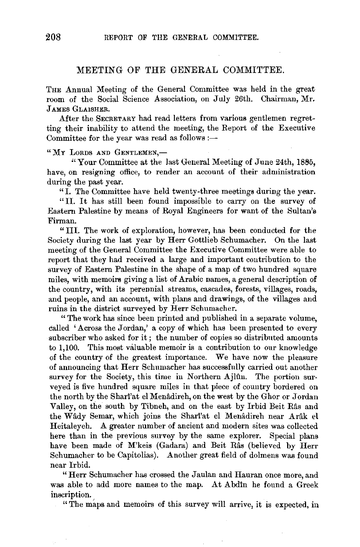## MEETING OF THE GENERAL COMMITTEE.

THE Annual Meeting of the General Committee was held in the great room of the Social Science Association, on July 26th. Chairman, Mr. J AMES GLAISHER.

After the SECRETARY had read letters from various gentlemen regretting their inability to attend the meeting, the Report of the Executive Committee for the year was read as follows :-

"MY LORDS AND GENTLEMEN,-

" Your Committee at the last General Meeting of June 24th, 1885, have, on resigning office, to render an account of their administration during the past year.

"I. The Committee have held twenty-three meetings during the year.

"II. It has still been found impossible to carry on the survey of Eastern Palestine by means of Royal Engineers for want of the Sultan's Firman.

"Ill. The work of exploration, however, has been conducted for the Society during the last year by Herr Gottlieb Schumacher. On the last meeting of the General Committee the Executive Committee were able to report that they had received a large and important contribution to the survey of Eastern Palestine in the shape of a map of two hundred square miles, with memoirs giving a list of Arabic names, a general description of the country, with its perennial streams, cascades, forests, villages, roads, and people, and an account, with plans and drawings, of the villages and ruins in the district surveyed by Herr Schumacher.

"The work has since been printed and published in a separate volume, called 'Across the Jordan,' a copy of which has been presented to every subscriber who asked for it; the number of copies so distributed amounts to 1,100. This most valuable memoir is a contribution to our knowledge of the country of the greatest importance. We have now the pleasure of announcing that Herr Schumacher has successfully carried out another survey for the Society, this time in Northern Ajlûn. The portion surveyed is five hundred square miles in that piece of country bordered on the north by the Shari'at el Menâdireh, on the west by the Ghor or Jordan Valley, on the south by Tibneh, and on the east by Irbid Beit Ras and the Wâdy Semar, which joins the Shari'at el Menâdireh near Arâk el Heitaleyeh. A greater number of ancient and modern sites was collected here than in the previous survey by the same explorer. Special plans have been made of M'keis (Gadara) and Beit Râs (believed by Herr Schumacher to be Capitolias). Another great field of dolmens was found near Irbid.

"Herr Schumacher has crossed the Jaulan and Hauran once more, and was able to add more names to the map. At Abdin he found a Greek inscription.

"The maps and memoirs of this survey will arrive, it is expected, in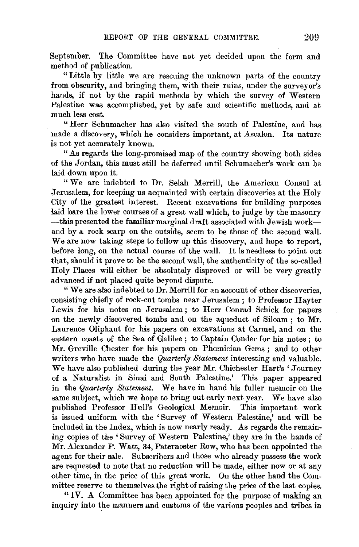September. The Committee have not yet decided upon the form and method of publication.

"Little by little we are rescuing the unknown parts of the country from obscurity, and bringing them, with their ruins, under the surveyor's hands, if not by the rapid methods by which the survey of Western Palestine was accomplished, yet by safe and scientific methods, and at much less cost.

"Herr Schumacher has also visited the south of Palestine, and has made a discovery, which he considers important, at Ascalon. Its nature is not yet accurately known.

"As regards the long-promised map of the country showing both sides of the Jordan, this must still be deferred until Schumacher's work can be laid down upon it.

"We are indebted to Dr. Selah Merrill, the American Consul at Jerusalem, for keeping us acquainted with certain discoveries at the Holy City of the greatest interest. Recent excavations for building purposes laid bare the lower courses of a great wall which, to judge by the masonry -this presented the familiar marginal draft associated with Jewish workand by a rock scarp on the outside, seem to be those of the second wall. We are now taking steps to follow up this discovery, and hope to report, before long, on the actual course of the wall. It is needless to point out that, should it prove to be the second wall, the authenticity of the so-called Holy Places will either be absolutely disproved or will be very greatly advanced if not placed quite beyond dispute.

"We are also indebted to Dr. Merrill for an account of other discoveries, consisting chiefly of rock-cut tombs near Jerusalem; to Professor Hayter Lewis for his notes on Jerusalem ; to Herr Conrad Schick for papers on the newly discovered tombs and on the aqueduct of Siloam ; to Mr. Laurence Oliphant for his papers on excavations at Carmel, and on the eastern coasts of the Sea of Galilee ; to Captain Conder for his notes ; to Mr. Greville Chester for his papers on Phcenician Gems ; and to other writers who have made the *Quarterly Statement* interesting and valuable. We have also published during the year Mr. Chichester Hart's 'Journey of a Naturalist in Sinai and South Palestine.' This paper appeared in the *Quarterly Statement.* We have in hand his fuller memoir on the same subject, which we hope to bring out early next year. We have also published Professor Hull's Geological Memoir. This important work is issued uniform with the 'Survey of Western Palestine,' and will be included in the Index, which is now nearly ready. As regards the remaining copies of the ' Survey of Western Palestine,' they are in the hands of Mr. Alexander P. Watt, 34, Paternoster Row, who has been appointed the agent for their sale. Subscribers and those who already possess the work are requested to note that no reduction will be made, either now or at any other time, in the price of this great work. On the other hand the Committee reserve to themselves the right of raising the price of the last copies.

*"IV.* A Committee has been appointed for the purpose of making an inquiry into the manners and customs of the various peoples and tribes in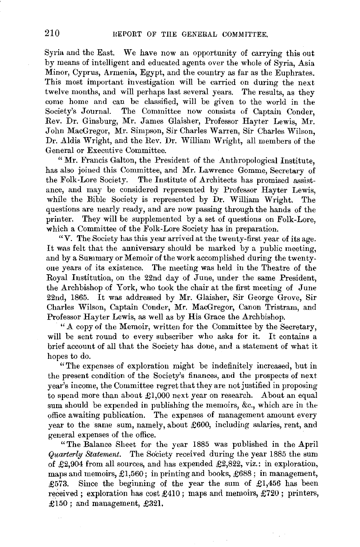Syria and the East. We have now an opportunity of carrying this out by means of intelligent and educated agents over the whole of Syria, Asia Minor, Cyprus, Armenia, Egypt, and the country as far as the Euphrates. This most important investigation will be carried on during the next twelve months, and will perhaps last several years. The results, as they come home and can be classified, will be given to the world in the Society's Journal. The Committee now consists of Captain Conder, Rev. Dr. Ginsburg, Mr. James Glaisher, Professor Hayter Lewis, Mr. John MacGregor, Mr. Simpson, Sir Charles Warren, Sir Charles Wilson, Dr. Aldis Wright, and the Rev. Dr. William Wright, all members of the General or Executive Committee.

" Mr. Francis Galton, the President of the Anthropological Institute, has also joined this Committee, and Mr. Lawrence Gomme, Secretary of the Folk-Lore Society. The Institute of Architects has promised assistance, and may be considered represented by Professor Hayter Lewis, while the Bible Society is represented by Dr. William Wright. The questions are nearly ready, and are now passing through the hands of the printer. They will be supplemented by a set of questions on Folk-Lore, which a Committee of the Folk-Lore Society has in preparation.

"V. The Society has this year arrived at the twenty-first year of its age. It was felt that the anniversary should be marked by a public meeting, and by a Summary or Memoir of the work accomplished during the twentyone years of its existence. The meeting was held in the Theatre of the Royal Institution, on the 22nd day of June, under the same President, the Archbishop of York, who took the chair at the first meeting of June 22nd, 1865. It was addressed by Mr. Glaisher, Sir George Grove, Sir Charles Wilson, Captain Conder, Mr. MacGregor, Canon Tristram, and Professor Hayter Lewis, as well as by His Grace the Archbishop.

"A copy of the Memoir, written for the Committee by the Secretary, will be sent round to every subscriber who asks for it. It contains a brief account of all that the Society has done, and a statement of what it hopes to do.

"The expenses of exploration might be indefinitely increased, but in the present condition of the Society's finances, and the prospects of next year's income, the Committee regret that they are not justified in proposing to spend more than about £1,000 next year on research. About an equal sum should be expended in publishing the memoirs, &c., which are in the office awaiting publication. The expenses of management amount every year to the same sum, namely, about £600, including salaries, rent, and general expenses of the office.

"The Balance Sheet for the year 1885 was published in the April *Quarterly Statement.* The Society received during the year 1885 the sum of £2,904 from all sources, and has expended £2,822, viz.: in exploration, maps and memoirs, £1,560; in printing and books, £688 ; in management, £573. Since the beginning of the year the sum of £1,456 has been received ; exploration has cost £410 ; maps and memoirs, £720 ; printers, £150 ; and management, £321.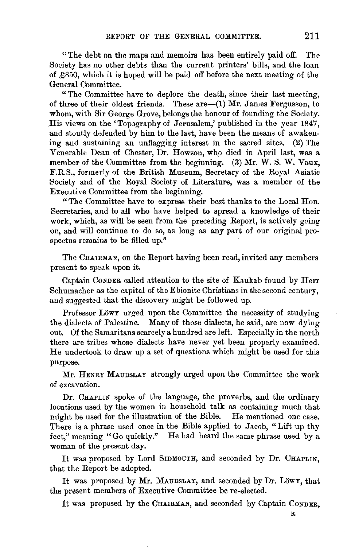"The debt on the maps and memoirs has been entirely paid off. The Society has no other debts than the current printers' bills, and the loan of £850, which it is hoped will be paid off before the next meeting of the General Committee.

"The Committee have to deplore the death, since their last meeting, of three of their oldest friends. These are  $-(1)$  Mr. James Fergusson, to whom, with Sir George Grove, belongs the honour of founding the Society. His views on the 'Topography of Jerusalem,' published in the year 1847, and stoutly defended by him to the last, have been the means of awakening and sustaining an unflagging interest in the sacred sites. (2) The Venerable Dean of Chester, Dr. Howson, who died in April last, was a member of the Committee from the beginning. (3) Mr. W. S. W. Vaux, F.R.S., formerly of the British Museum, Secretary of the Royal Asiatic Society and of the Royal Society of Literature, was a member of the Executive Committee from the beginning.

"The Committee have to express their best thanks to the Local Hon. Secretaries, and to all who have helped to spread a knowledge of their work, which, as will be seen from the preceding Report, is actively going on, and will continue to do so, as long as any part of our original prospectus remains to be filled up."

The CHAIRMAN, on the Report having been read, invited any members present to speak upon it.

Captain CoNDER called attention to the site of Kaukab found by Herr Schumacher as the capital of the Ebionite Christians in the second century, and suggested that the discovery might be followed up.

Professor Löwy urged upon the Committee the necessity of studying the dialects of Palestine. Many of those dialects, he said, are now dying out. Of the Samaritans scarcely a hundred are left. Especially in the north there are tribes whose dialects have never yet been properly examined. He undertook to draw up a set of questions which might be used for this purpose.

Mr. HENRY MAUDSLAY strongly urged upon the Committee the work of excavation.

Dr. CHAPLIN spoke of the language, the proverbs, and the ordinary locutions used by the women in household talk as containing much that might be used for the illustration of the Bible. He mentioned one case. There is a phrase used once in the Bible applied to Jacob, "Lift up thy feet," meaning "Go quickly." He had heard the same phrase used by a woman of the present day.

It was proposed by Lord SIDMOUTH, and seconded by Dr. CHAPLIN, that the Report be adopted.

It was proposed by Mr. MAUDSLAY, and seconded by Dr. Löwy, that the present members of Executive Committee be re-elected.

It was proposed by the CHAIRMAN, and seconded by Captain CONDER,

R